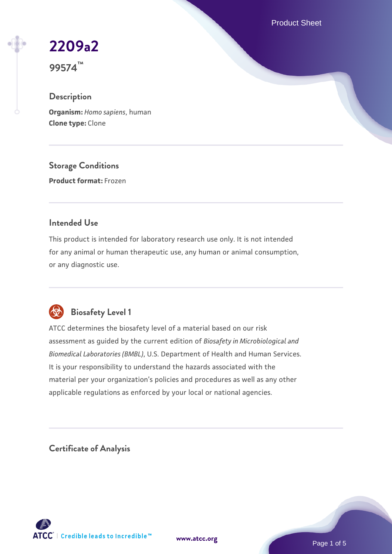Product Sheet

# **[2209a2](https://www.atcc.org/products/99574)**

**99574™**

## **Description**

**Organism:** *Homo sapiens*, human **Clone type:** Clone

**Storage Conditions**

**Product format:** Frozen

## **Intended Use**

This product is intended for laboratory research use only. It is not intended for any animal or human therapeutic use, any human or animal consumption, or any diagnostic use.



## **Biosafety Level 1**

ATCC determines the biosafety level of a material based on our risk assessment as guided by the current edition of *Biosafety in Microbiological and Biomedical Laboratories (BMBL)*, U.S. Department of Health and Human Services. It is your responsibility to understand the hazards associated with the material per your organization's policies and procedures as well as any other applicable regulations as enforced by your local or national agencies.

**Certificate of Analysis**

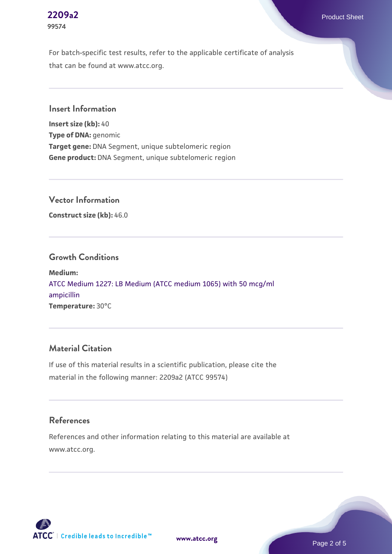**[2209a2](https://www.atcc.org/products/99574)** Product Sheet

For batch-specific test results, refer to the applicable certificate of analysis that can be found at www.atcc.org.

**Insert Information**

**Insert size (kb):** 40 **Type of DNA:** genomic **Target gene:** DNA Segment, unique subtelomeric region **Gene product:** DNA Segment, unique subtelomeric region

**Vector Information**

**Construct size (kb):** 46.0

#### **Growth Conditions**

**Medium:**  [ATCC Medium 1227: LB Medium \(ATCC medium 1065\) with 50 mcg/ml](https://www.atcc.org/-/media/product-assets/documents/microbial-media-formulations/1/2/2/7/atcc-medium-1227.pdf?rev=581c98603b3e4b29a6d62ee0ba9ca578) [ampicillin](https://www.atcc.org/-/media/product-assets/documents/microbial-media-formulations/1/2/2/7/atcc-medium-1227.pdf?rev=581c98603b3e4b29a6d62ee0ba9ca578) **Temperature:** 30°C

## **Material Citation**

If use of this material results in a scientific publication, please cite the material in the following manner: 2209a2 (ATCC 99574)

#### **References**

References and other information relating to this material are available at www.atcc.org.



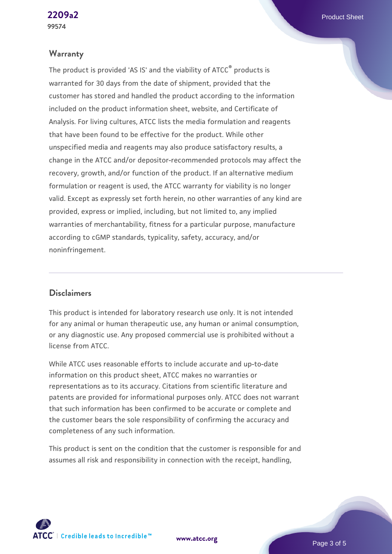#### **Warranty**

The product is provided 'AS IS' and the viability of ATCC® products is warranted for 30 days from the date of shipment, provided that the customer has stored and handled the product according to the information included on the product information sheet, website, and Certificate of Analysis. For living cultures, ATCC lists the media formulation and reagents that have been found to be effective for the product. While other unspecified media and reagents may also produce satisfactory results, a change in the ATCC and/or depositor-recommended protocols may affect the recovery, growth, and/or function of the product. If an alternative medium formulation or reagent is used, the ATCC warranty for viability is no longer valid. Except as expressly set forth herein, no other warranties of any kind are provided, express or implied, including, but not limited to, any implied warranties of merchantability, fitness for a particular purpose, manufacture according to cGMP standards, typicality, safety, accuracy, and/or noninfringement.

#### **Disclaimers**

This product is intended for laboratory research use only. It is not intended for any animal or human therapeutic use, any human or animal consumption, or any diagnostic use. Any proposed commercial use is prohibited without a license from ATCC.

While ATCC uses reasonable efforts to include accurate and up-to-date information on this product sheet, ATCC makes no warranties or representations as to its accuracy. Citations from scientific literature and patents are provided for informational purposes only. ATCC does not warrant that such information has been confirmed to be accurate or complete and the customer bears the sole responsibility of confirming the accuracy and completeness of any such information.

This product is sent on the condition that the customer is responsible for and assumes all risk and responsibility in connection with the receipt, handling,

**[www.atcc.org](http://www.atcc.org)**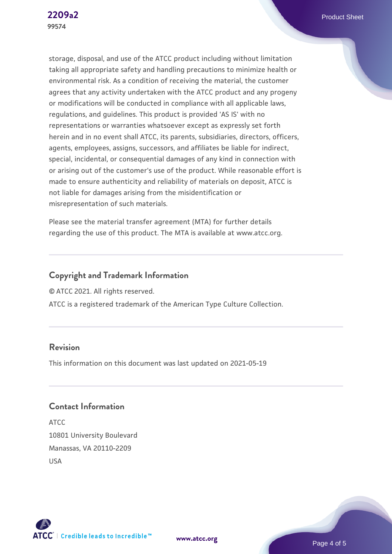storage, disposal, and use of the ATCC product including without limitation taking all appropriate safety and handling precautions to minimize health or environmental risk. As a condition of receiving the material, the customer agrees that any activity undertaken with the ATCC product and any progeny or modifications will be conducted in compliance with all applicable laws, regulations, and guidelines. This product is provided 'AS IS' with no representations or warranties whatsoever except as expressly set forth herein and in no event shall ATCC, its parents, subsidiaries, directors, officers, agents, employees, assigns, successors, and affiliates be liable for indirect, special, incidental, or consequential damages of any kind in connection with or arising out of the customer's use of the product. While reasonable effort is made to ensure authenticity and reliability of materials on deposit, ATCC is not liable for damages arising from the misidentification or misrepresentation of such materials.

Please see the material transfer agreement (MTA) for further details regarding the use of this product. The MTA is available at www.atcc.org.

## **Copyright and Trademark Information**

© ATCC 2021. All rights reserved.

ATCC is a registered trademark of the American Type Culture Collection.

### **Revision**

This information on this document was last updated on 2021-05-19

## **Contact Information**

ATCC 10801 University Boulevard Manassas, VA 20110-2209 USA